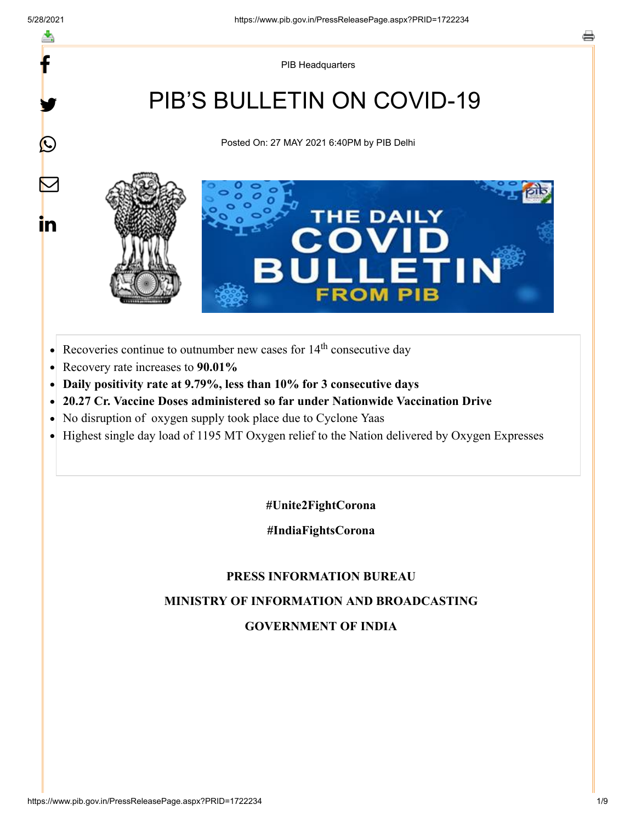f

y.

 $\bigcirc$ 

 $\bm{\nabla}$ 

in

PIB Headquarters

# PIB'S BULLETIN ON COVID-19

Posted On: 27 MAY 2021 6:40PM by PIB Delhi



- Recoveries continue to outnumber new cases for  $14<sup>th</sup>$  consecutive day  $\bullet$
- Recovery rate increases to **90.01%**  $\bullet$
- **Daily positivity rate at 9.79%, less than 10% for 3 consecutive days**  $\bullet$
- **20.27 Cr. Vaccine Doses administered so far under Nationwide Vaccination Drive**
- No disruption of oxygen supply took place due to Cyclone Yaas  $\bullet$
- Highest single day load of 1195 MT Oxygen relief to the Nation delivered by Oxygen Expresses  $\bullet$

**#Unite2FightCorona**

**#IndiaFightsCorona**

#### **PRESS INFORMATION BUREAU**

#### **MINISTRY OF INFORMATION AND BROADCASTING**

#### **GOVERNMENT OF INDIA**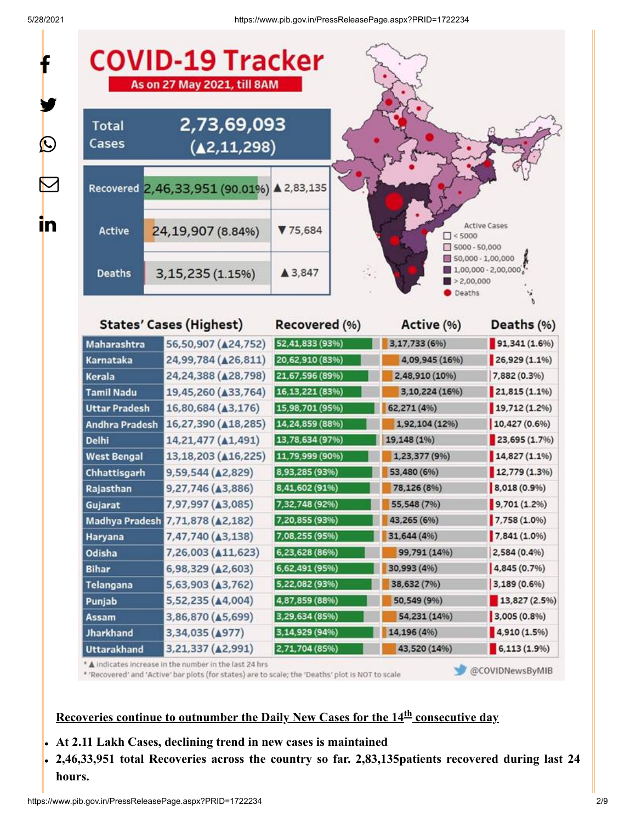f

 $\bigcirc$ 

<u>in</u>



\* 'Recovered' and 'Active' bar plots (for states) are to scale; the 'Deaths' plot is NOT to scale

@COVIDNewsByMIB

### Recoveries continue to outnumber the Daily New Cases for the 14<sup>th</sup> consecutive day

- **At 2.11 Lakh Cases, declining trend in new cases is maintained**
- **2,46,33,951 total Recoveries across the country so far. 2,83,135patients recovered during last 24 hours.**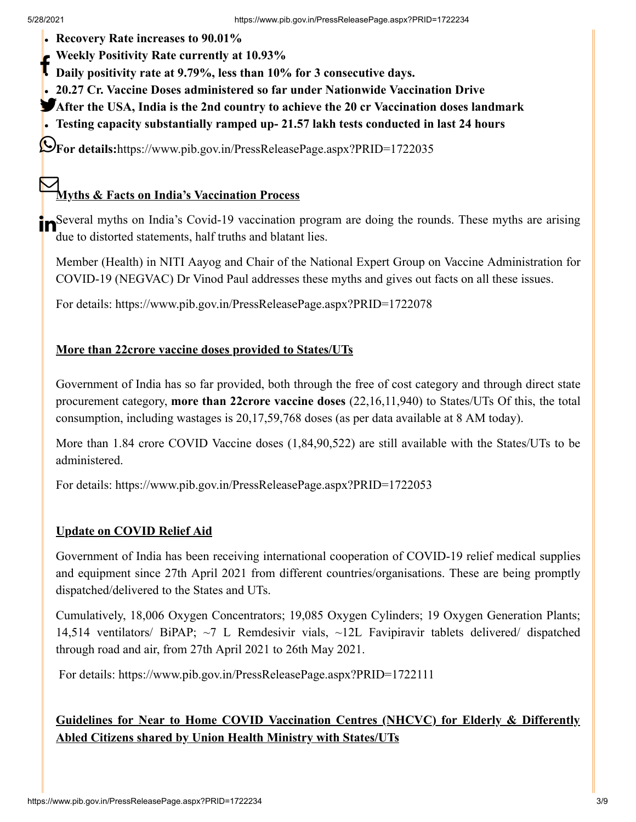- **Recovery Rate increases to 90.01%**
- **Weekly Positivity Rate currently at 10.93%**
- **Daily positivity Rate currently at 10.99%**<br>**Daily positivity rate at 9.79%, less than 10% for 3 consecutive days.**
- **20.27 Cr. Vaccine Doses administered so far under Nationwide Vaccination Drive**
- **After the USA, India is the 2nd country to achieve the 20 cr Vaccination doses landmark**
- **Testing capacity substantially ramped up- 21.57 lakh tests conducted in last 24 hours**

**For details:**<https://www.pib.gov.in/PressReleasePage.aspx?PRID=1722035>

#### **Myths & Facts on India's Vaccination Process**  $\boldsymbol{\nabla}$

**In**Several myths on India's Covid-19 vaccination program are doing the rounds. These myths are arising due to distorted statements, half truths and blatant lies.

Member (Health) in NITI Aayog and Chair of the National Expert Group on Vaccine Administration for COVID-19 (NEGVAC) Dr Vinod Paul addresses these myths and gives out facts on all these issues.

For details:<https://www.pib.gov.in/PressReleasePage.aspx?PRID=1722078>

#### **More than 22crore vaccine doses provided to States/UTs**

Government of India has so far provided, both through the free of cost category and through direct state procurement category, **more than 22crore vaccine doses** (22,16,11,940) to States/UTs Of this, the total consumption, including wastages is 20,17,59,768 doses (as per data available at 8 AM today).

More than 1.84 crore COVID Vaccine doses (1,84,90,522) are still available with the States/UTs to be administered.

For details:<https://www.pib.gov.in/PressReleasePage.aspx?PRID=1722053>

#### **Update on COVID Relief Aid**

Government of India has been receiving international cooperation of COVID-19 relief medical supplies and equipment since 27th April 2021 from different countries/organisations. These are being promptly dispatched/delivered to the States and UTs.

Cumulatively, 18,006 Oxygen Concentrators; 19,085 Oxygen Cylinders; 19 Oxygen Generation Plants; 14,514 ventilators/ BiPAP; ~7 L Remdesivir vials, ~12L Favipiravir tablets delivered/ dispatched through road and air, from 27th April 2021 to 26th May 2021.

For details:<https://www.pib.gov.in/PressReleasePage.aspx?PRID=1722111>

## **Guidelines for Near to Home COVID Vaccination Centres (NHCVC) for Elderly & Differently Abled Citizens shared by Union Health Ministry with States/UTs**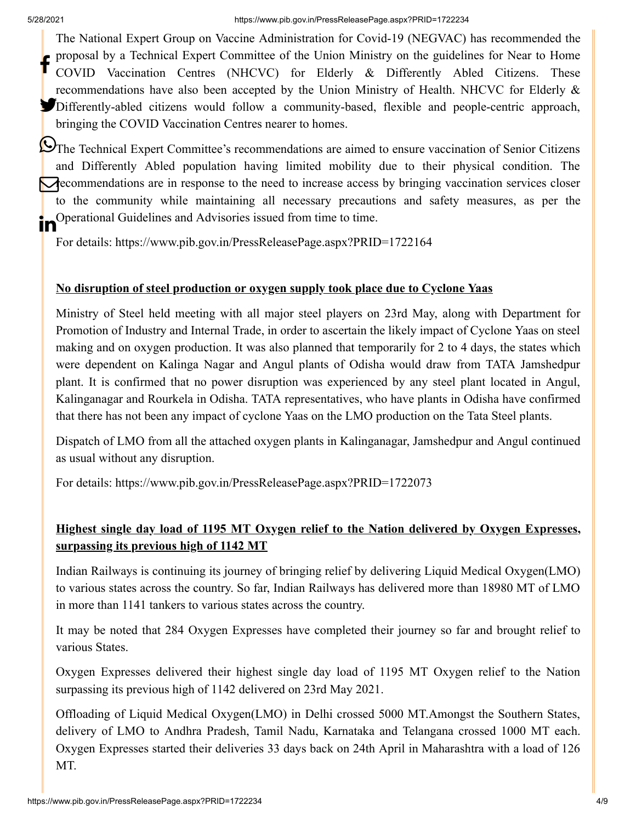The National Expert Group on Vaccine Administration for Covid-19 (NEGVAC) has recommended the proposal by a Technical Expert Committee of the Union Ministry on the guidelines for Near to Home COVID Vaccination Centres (NHCVC) for Elderly & Differently Abled Citizens. These recommendations have also been accepted by the Union Ministry of Health. NHCVC for Elderly & Differently-abled citizens would follow a community-based, flexible and people-centric approach, bringing the COVID Vaccination Centres nearer to homes. f

**O**The Technical Expert Committee's recommendations are aimed to ensure vaccination of Senior Citizens and Differently Abled population having limited mobility due to their physical condition. The **recommendations are in response to the need to increase access by bringing vaccination services closer** to the community while maintaining all necessary precautions and safety measures, as per the Operational Guidelines and Advisories issued from time to time. In

For details:<https://www.pib.gov.in/PressReleasePage.aspx?PRID=1722164>

#### **No disruption of steel production or oxygen supply took place due to Cyclone Yaas**

Ministry of Steel held meeting with all major steel players on 23rd May, along with Department for Promotion of Industry and Internal Trade, in order to ascertain the likely impact of Cyclone Yaas on steel making and on oxygen production. It was also planned that temporarily for 2 to 4 days, the states which were dependent on Kalinga Nagar and Angul plants of Odisha would draw from TATA Jamshedpur plant. It is confirmed that no power disruption was experienced by any steel plant located in Angul, Kalinganagar and Rourkela in Odisha. TATA representatives, who have plants in Odisha have confirmed that there has not been any impact of cyclone Yaas on the LMO production on the Tata Steel plants.

Dispatch of LMO from all the attached oxygen plants in Kalinganagar, Jamshedpur and Angul continued as usual without any disruption.

For details:<https://www.pib.gov.in/PressReleasePage.aspx?PRID=1722073>

## **Highest single day load of 1195 MT Oxygen relief to the Nation delivered by Oxygen Expresses, surpassing its previous high of 1142 MT**

Indian Railways is continuing its journey of bringing relief by delivering Liquid Medical Oxygen(LMO) to various states across the country. So far, Indian Railways has delivered more than 18980 MT of LMO in more than 1141 tankers to various states across the country.

It may be noted that 284 Oxygen Expresses have completed their journey so far and brought relief to various States.

Oxygen Expresses delivered their highest single day load of 1195 MT Oxygen relief to the Nation surpassing its previous high of 1142 delivered on 23rd May 2021.

Offloading of Liquid Medical Oxygen(LMO) in Delhi crossed 5000 MT.Amongst the Southern States, delivery of LMO to Andhra Pradesh, Tamil Nadu, Karnataka and Telangana crossed 1000 MT each. Oxygen Expresses started their deliveries 33 days back on 24th April in Maharashtra with a load of 126 MT.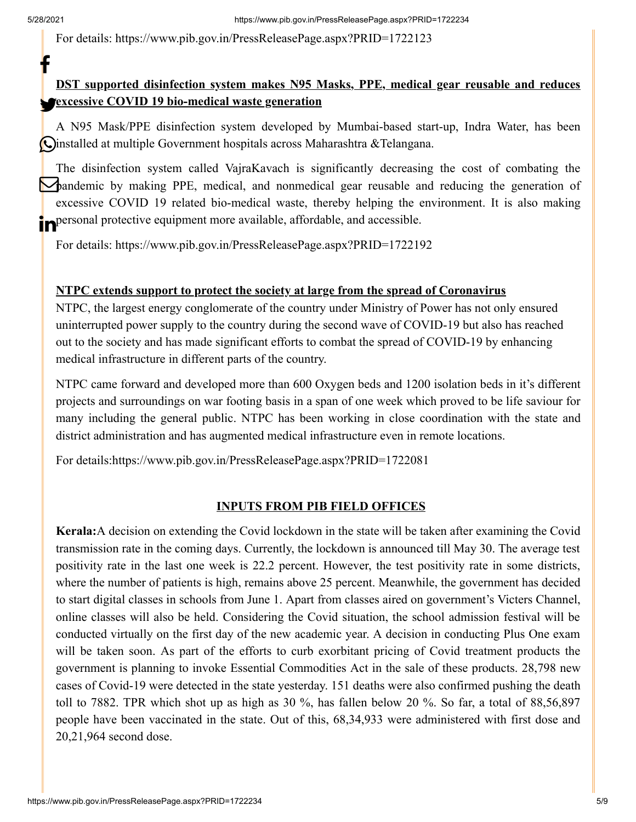f

For details:<https://www.pib.gov.in/PressReleasePage.aspx?PRID=1722123>

# **DST supported disinfection system makes N95 Masks, PPE, medical gear reusable and reduces excessive COVID 19 bio-medical waste generation**

A N95 Mask/PPE disinfection system developed by Mumbai-based start-up, Indra Water, has been Oinstalled at multiple Government hospitals across Maharashtra &Telangana.

The disinfection system called VajraKavach is significantly decreasing the cost of combating the **Pandemic by making PPE, medical, and nonmedical gear reusable and reducing the generation of** excessive COVID 19 related bio-medical waste, thereby helping the environment. It is also making **in** personal protective equipment more available, affordable, and accessible.

For details:<https://www.pib.gov.in/PressReleasePage.aspx?PRID=1722192>

#### **NTPC extends support to protect the society at large from the spread of Coronavirus**

NTPC, the largest energy conglomerate of the country under Ministry of Power has not only ensured uninterrupted power supply to the country during the second wave of COVID-19 but also has reached out to the society and has made significant efforts to combat the spread of COVID-19 by enhancing medical infrastructure in different parts of the country.

NTPC came forward and developed more than 600 Oxygen beds and 1200 isolation beds in it's different projects and surroundings on war footing basis in a span of one week which proved to be life saviour for many including the general public. NTPC has been working in close coordination with the state and district administration and has augmented medical infrastructure even in remote locations.

For details[:https://www.pib.gov.in/PressReleasePage.aspx?PRID=1722081](https://www.pib.gov.in/PressReleasePage.aspx?PRID=1722081)

#### **INPUTS FROM PIB FIELD OFFICES**

**Kerala:**A decision on extending the Covid lockdown in the state will be taken after examining the Covid transmission rate in the coming days. Currently, the lockdown is announced till May 30. The average test positivity rate in the last one week is 22.2 percent. However, the test positivity rate in some districts, where the number of patients is high, remains above 25 percent. Meanwhile, the government has decided to start digital classes in schools from June 1. Apart from classes aired on government's Victers Channel, online classes will also be held. Considering the Covid situation, the school admission festival will be conducted virtually on the first day of the new academic year. A decision in conducting Plus One exam will be taken soon. As part of the efforts to curb exorbitant pricing of Covid treatment products the government is planning to invoke Essential Commodities Act in the sale of these products. 28,798 new cases of Covid-19 were detected in the state yesterday. 151 deaths were also confirmed pushing the death toll to 7882. TPR which shot up as high as 30 %, has fallen below 20 %. So far, a total of 88,56,897 people have been vaccinated in the state. Out of this, 68,34,933 were administered with first dose and 20,21,964 second dose.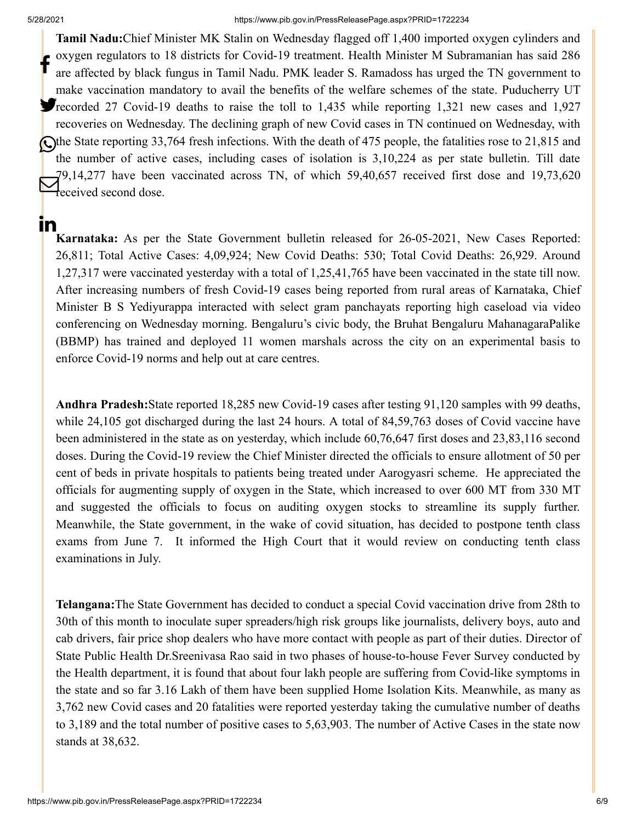In.

#### 5/28/2021 https://www.pib.gov.in/PressReleasePage.aspx?PRID=1722234

**Tamil Nadu:**Chief Minister MK Stalin on Wednesday flagged off 1,400 imported oxygen cylinders and oxygen regulators to 18 districts for Covid-19 treatment. Health Minister M Subramanian has said 286 are affected by black fungus in Tamil Nadu. PMK leader S. Ramadoss has urged the TN government to make vaccination mandatory to avail the benefits of the welfare schemes of the state. Puducherry UT **T**recorded 27 Covid-19 deaths to raise the toll to 1,435 while reporting 1,321 new cases and 1,927 recoveries on Wednesday. The declining graph of new Covid cases in TN continued on Wednesday, with The State reporting 33,764 fresh infections. With the death of 475 people, the fatalities rose to 21,815 and the number of active cases, including cases of isolation is 3,10,224 as per state bulletin. Till date 79,14,277 have been vaccinated across TN, of which 59,40,657 received first dose and 19,73,620  $\sum_{\text{received second dose.}}^{9,14,277}$ f

**Karnataka:** As per the State Government bulletin released for 26-05-2021, New Cases Reported: 26,811; Total Active Cases: 4,09,924; New Covid Deaths: 530; Total Covid Deaths: 26,929. Around 1,27,317 were vaccinated yesterday with a total of 1,25,41,765 have been vaccinated in the state till now. After increasing numbers of fresh Covid-19 cases being reported from rural areas of Karnataka, Chief Minister B S Yediyurappa interacted with select gram panchayats reporting high caseload via video conferencing on Wednesday morning. Bengaluru's civic body, the Bruhat Bengaluru MahanagaraPalike (BBMP) has trained and deployed 11 women marshals across the city on an experimental basis to enforce Covid-19 norms and help out at care centres.

**Andhra Pradesh:**State reported 18,285 new Covid-19 cases after testing 91,120 samples with 99 deaths, while 24,105 got discharged during the last 24 hours. A total of 84,59,763 doses of Covid vaccine have been administered in the state as on yesterday, which include 60,76,647 first doses and 23,83,116 second doses. During the Covid-19 review the Chief Minister directed the officials to ensure allotment of 50 per cent of beds in private hospitals to patients being treated under Aarogyasri scheme. He appreciated the officials for augmenting supply of oxygen in the State, which increased to over 600 MT from 330 MT and suggested the officials to focus on auditing oxygen stocks to streamline its supply further. Meanwhile, the State government, in the wake of covid situation, has decided to postpone tenth class exams from June 7. It informed the High Court that it would review on conducting tenth class examinations in July.

**Telangana:**The State Government has decided to conduct a special Covid vaccination drive from 28th to 30th of this month to inoculate super spreaders/high risk groups like journalists, delivery boys, auto and cab drivers, fair price shop dealers who have more contact with people as part of their duties. Director of State Public Health Dr.Sreenivasa Rao said in two phases of house-to-house Fever Survey conducted by the Health department, it is found that about four lakh people are suffering from Covid-like symptoms in the state and so far 3.16 Lakh of them have been supplied Home Isolation Kits. Meanwhile, as many as 3,762 new Covid cases and 20 fatalities were reported yesterday taking the cumulative number of deaths to 3,189 and the total number of positive cases to 5,63,903. The number of Active Cases in the state now stands at 38,632.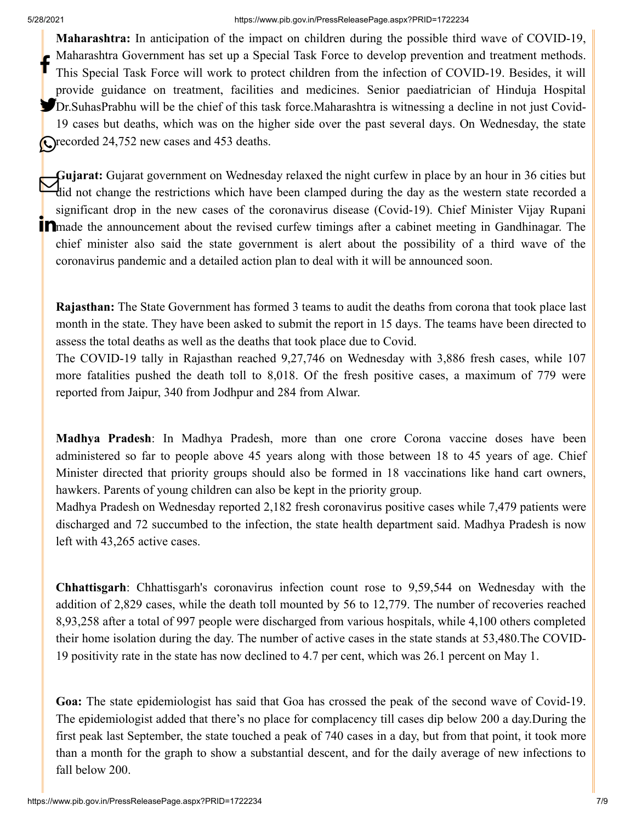#### 5/28/2021 https://www.pib.gov.in/PressReleasePage.aspx?PRID=1722234

**Maharashtra:** In anticipation of the impact on children during the possible third wave of COVID-19, Maharashtra Government has set up a Special Task Force to develop prevention and treatment methods. This Special Task Force will work to protect children from the infection of COVID-19. Besides, it will provide guidance on treatment, facilities and medicines. Senior paediatrician of Hinduja Hospital Dr.SuhasPrabhu will be the chief of this task force.Maharashtra is witnessing a decline in not just Covid-19 cases but deaths, which was on the higher side over the past several days. On Wednesday, the state **O**recorded 24,752 new cases and 453 deaths. f

**Gujarat:** Gujarat government on Wednesday relaxed the night curfew in place by an hour in 36 cities but<br>Hid not change the restrictions which have been clamped during the day as the western state recorded a did not change the restrictions which have been clamped during the day as the western state recorded a significant drop in the new cases of the coronavirus disease (Covid-19). Chief Minister Vijay Rupani **in** made the announcement about the revised curfew timings after a cabinet meeting in Gandhinagar. The chief minister also said the state government is alert about the possibility of a third wave of the coronavirus pandemic and a detailed action plan to deal with it will be announced soon.

**Rajasthan:** The State Government has formed 3 teams to audit the deaths from corona that took place last month in the state. They have been asked to submit the report in 15 days. The teams have been directed to assess the total deaths as well as the deaths that took place due to Covid.

The COVID-19 tally in Rajasthan reached 9,27,746 on Wednesday with 3,886 fresh cases, while 107 more fatalities pushed the death toll to 8,018. Of the fresh positive cases, a maximum of 779 were reported from Jaipur, 340 from Jodhpur and 284 from Alwar.

**Madhya Pradesh**: In Madhya Pradesh, more than one crore Corona vaccine doses have been administered so far to people above 45 years along with those between 18 to 45 years of age. Chief Minister directed that priority groups should also be formed in 18 vaccinations like hand cart owners, hawkers. Parents of young children can also be kept in the priority group.

Madhya Pradesh on Wednesday reported 2,182 fresh coronavirus positive cases while 7,479 patients were discharged and 72 succumbed to the infection, the state health department said. Madhya Pradesh is now left with 43,265 active cases.

**Chhattisgarh**: Chhattisgarh's coronavirus infection count rose to 9,59,544 on Wednesday with the addition of 2,829 cases, while the death toll mounted by 56 to 12,779. The number of recoveries reached 8,93,258 after a total of 997 people were discharged from various hospitals, while 4,100 others completed their home isolation during the day. The number of active cases in the state stands at 53,480.The COVID-19 positivity rate in the state has now declined to 4.7 per cent, which was 26.1 percent on May 1.

**Goa:** The state epidemiologist has said that Goa has crossed the peak of the second wave of Covid-19. The epidemiologist added that there's no place for complacency till cases dip below 200 a day.During the first peak last September, the state touched a peak of 740 cases in a day, but from that point, it took more than a month for the graph to show a substantial descent, and for the daily average of new infections to fall below 200.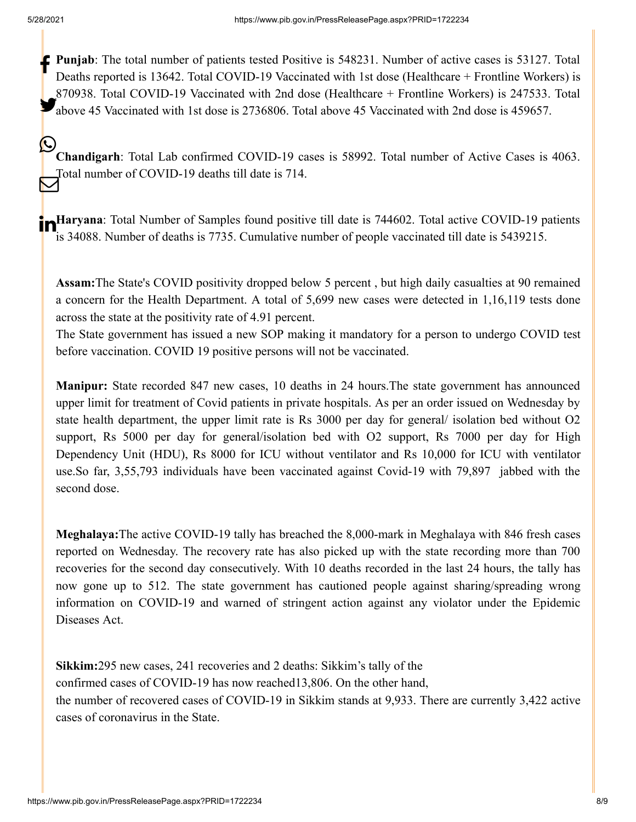**Punjab**: The total number of patients tested Positive is 548231. Number of active cases is 53127. Total  $\mathbb{R}$ Deaths reported is 13642. Total COVID-19 Vaccinated with 1st dose (Healthcare + Frontline Workers) is 870938. Total COVID-19 Vaccinated with 2nd dose (Healthcare + Frontline Workers) is 247533. Total above 45 Vaccinated with 1st dose is 2736806. Total above 45 Vaccinated with 2nd dose is 459657.

**Chandigarh**: Total Lab confirmed COVID-19 cases is 58992. Total number of Active Cases is 4063. Total number of COVID-19 deaths till date is 714.  $\mathbf{\mathbb{O}}$  $\bm{\nabla}$ 

**Haryana**: Total Number of Samples found positive till date is 744602. Total active COVID-19 patients is 34088. Number of deaths is 7735. Cumulative number of people vaccinated till date is 5439215.

**Assam:**The State's COVID positivity dropped below 5 percent , but high daily casualties at 90 remained a concern for the Health Department. A total of 5,699 new cases were detected in 1,16,119 tests done across the state at the positivity rate of 4.91 percent.

The State government has issued a new SOP making it mandatory for a person to undergo COVID test before vaccination. COVID 19 positive persons will not be vaccinated.

**Manipur:** State recorded 847 new cases, 10 deaths in 24 hours.The state government has announced upper limit for treatment of Covid patients in private hospitals. As per an order issued on Wednesday by state health department, the upper limit rate is Rs 3000 per day for general/ isolation bed without O2 support, Rs 5000 per day for general/isolation bed with O2 support, Rs 7000 per day for High Dependency Unit (HDU), Rs 8000 for ICU without ventilator and Rs 10,000 for ICU with ventilator use.So far, 3,55,793 individuals have been vaccinated against Covid-19 with 79,897 jabbed with the second dose.

**Meghalaya:**The active COVID-19 tally has breached the 8,000-mark in Meghalaya with 846 fresh cases reported on Wednesday. The recovery rate has also picked up with the state recording more than 700 recoveries for the second day consecutively. With 10 deaths recorded in the last 24 hours, the tally has now gone up to 512. The state government has cautioned people against sharing/spreading wrong information on COVID-19 and warned of stringent action against any violator under the Epidemic Diseases Act.

**Sikkim:**295 new cases, 241 recoveries and 2 deaths: Sikkim's tally of the confirmed cases of COVID-19 has now reached13,806. On the other hand, the number of recovered cases of COVID-19 in Sikkim stands at 9,933. There are currently 3,422 active cases of coronavirus in the State.